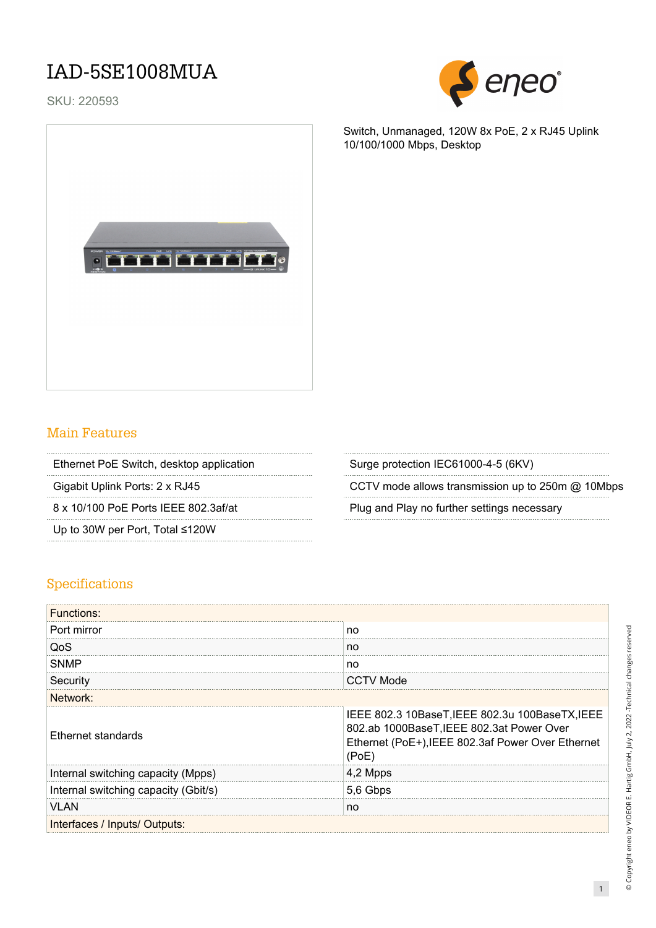## IAD-5SE1008MUA

SKU: 220593



Switch, Unmanaged, 120W 8x PoE, 2 x RJ45 Uplink 10/100/1000 Mbps, Desktop



## Main Features

Ethernet PoE Switch, desktop application Surge protection IEC61000-4-5 (6KV)

Up to 30W per Port, Total ≤120W

Gigabit Uplink Ports: 2 x RJ45 CCTV mode allows transmission up to 250m @ 10Mbps

8 x 10/100 PoE Ports IEEE 802.3af/at Plug and Play no further settings necessary

## Specifications

| <b>Functions:</b>                    |                                                                                                                                                            |  |
|--------------------------------------|------------------------------------------------------------------------------------------------------------------------------------------------------------|--|
| Port mirror                          | no                                                                                                                                                         |  |
| QoS                                  | no                                                                                                                                                         |  |
| <b>SNMP</b>                          | no                                                                                                                                                         |  |
| Security                             | <b>CCTV Mode</b>                                                                                                                                           |  |
| Network:                             |                                                                                                                                                            |  |
| Ethernet standards                   | IEEE 802.3 10BaseT, IEEE 802.3u 100BaseTX, IEEE<br>802.ab 1000BaseT, IEEE 802.3at Power Over<br>Ethernet (PoE+), IEEE 802.3af Power Over Ethernet<br>(PoE) |  |
| Internal switching capacity (Mpps)   | 4,2 Mpps                                                                                                                                                   |  |
| Internal switching capacity (Gbit/s) | 5,6 Gbps                                                                                                                                                   |  |
| <b>VLAN</b>                          | no                                                                                                                                                         |  |
| Interfaces / Inputs/ Outputs:        |                                                                                                                                                            |  |